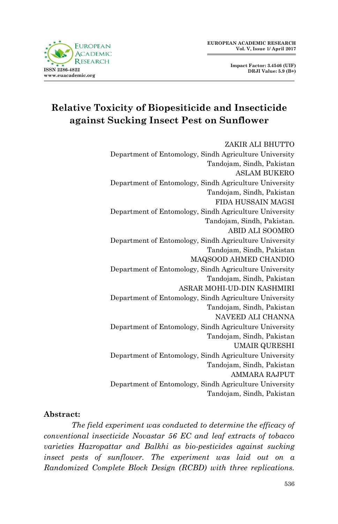



## **Relative Toxicity of Biopesiticide and Insecticide against Sucking Insect Pest on Sunflower**

ZAKIR ALI BHUTTO Department of Entomology, Sindh Agriculture University Tandojam, Sindh, Pakistan ASLAM BUKERO Department of Entomology, Sindh Agriculture University Tandojam, Sindh, Pakistan FIDA HUSSAIN MAGSI Department of Entomology, Sindh Agriculture University Tandojam, Sindh, Pakistan. ABID ALI SOOMRO Department of Entomology, Sindh Agriculture University Tandojam, Sindh, Pakistan MAQSOOD AHMED CHANDIO Department of Entomology, Sindh Agriculture University Tandojam, Sindh, Pakistan ASRAR MOHI-UD-DIN KASHMIRI Department of Entomology, Sindh Agriculture University Tandojam, Sindh, Pakistan NAVEED ALI CHANNA Department of Entomology, Sindh Agriculture University Tandojam, Sindh, Pakistan UMAIR QURESHI Department of Entomology, Sindh Agriculture University Tandojam, Sindh, Pakistan AMMARA RAJPUT Department of Entomology, Sindh Agriculture University Tandojam, Sindh, Pakistan

#### **Abstract:**

*The field experiment was conducted to determine the efficacy of conventional insecticide Novastar 56 EC and leaf extracts of tobacco varieties Hazropattar and Balkhi as bio-pesticides against sucking insect pests of sunflower. The experiment was laid out on a Randomized Complete Block Design (RCBD) with three replications.*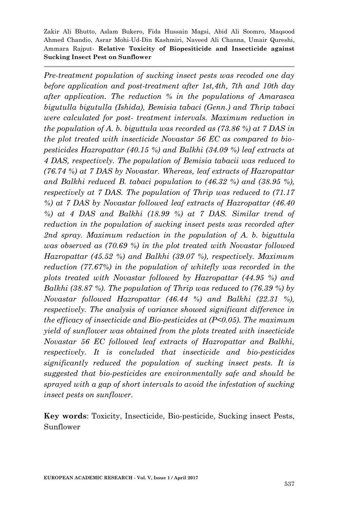*Pre-treatment population of sucking insect pests was recoded one day before application and post-treatment after 1st,4th, 7th and 10th day after application. The reduction % in the populations of Amarasca bigutulla bigutulla (Ishida), Bemisia tabaci (Genn.) and Thrip tabaci were calculated for post- treatment intervals. Maximum reduction in the population of A. b. biguttula was recorded as (73.86 %) at 7 DAS in the plot treated with insecticide Novastar 56 EC as compared to biopesticides Hazropattar (40.15 %) and Balkhi (34.09 %) leaf extracts at 4 DAS, respectively. The population of Bemisia tabacii was reduced to (76.74 %) at 7 DAS by Novastar. Whereas, leaf extracts of Hazropattar and Balkhi reduced B. tabaci population to (46.32 %) and (38.95 %), respectively at 7 DAS. The population of Thrip was reduced to (71.17 %) at 7 DAS by Novastar followed leaf extracts of Hazropattar (46.40 %) at 4 DAS and Balkhi (18.99 %) at 7 DAS. Similar trend of reduction in the population of sucking insect pests was recorded after 2nd spray. Maximum reduction in the population of A. b. biguttula was observed as (70.69 %) in the plot treated with Novastar followed Hazropattar (45.52 %) and Balkhi (39.07 %), respectively. Maximum reduction (77.67%) in the population of whitefly was recorded in the plots treated with Novastar followed by Hazropattar (44.95 %) and Balkhi (38.87 %). The population of Thrip was reduced to (76.39 %) by Novastar followed Hazropattar (46.44 %) and Balkhi (22.31 %), respectively. The analysis of variance showed significant difference in the efficacy of insecticide and Bio-pesticides at (P<0.05). The maximum yield of sunflower was obtained from the plots treated with insecticide Novastar 56 EC followed leaf extracts of Hazropattar and Balkhi, respectively. It is concluded that insecticide and bio-pesticides significantly reduced the population of sucking insect pests. It is suggested that bio-pesticides are environmentally safe and should be sprayed with a gap of short intervals to avoid the infestation of sucking insect pests on sunflower.*

**Key words**: Toxicity, Insecticide, Bio-pesticide, Sucking insect Pests, Sunflower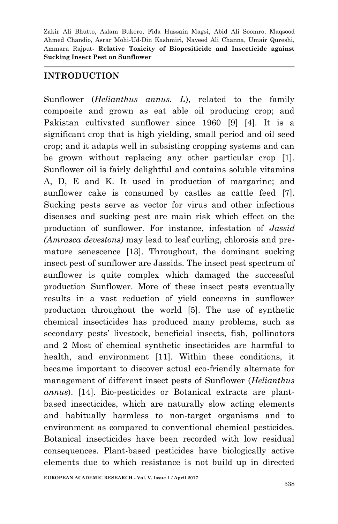#### **INTRODUCTION**

Sunflower (*Helianthus annus. L*), related to the family composite and grown as eat able oil producing crop; and Pakistan cultivated sunflower since 1960 [9] [4]. It is a significant crop that is high yielding, small period and oil seed crop; and it adapts well in subsisting cropping systems and can be grown without replacing any other particular crop [1]. Sunflower oil is fairly delightful and contains soluble vitamins A, D, E and K. It used in production of margarine; and sunflower cake is consumed by castles as cattle feed [7]. Sucking pests serve as vector for virus and other infectious diseases and sucking pest are main risk which effect on the production of sunflower. For instance, infestation of *Jassid (Amrasca devestons)* may lead to leaf curling, chlorosis and premature senescence [13]. Throughout, the dominant sucking insect pest of sunflower are Jassids. The insect pest spectrum of sunflower is quite complex which damaged the successful production Sunflower. More of these insect pests eventually results in a vast reduction of yield concerns in sunflower production throughout the world [5]. The use of synthetic chemical insecticides has produced many problems, such as secondary pests' livestock, beneficial insects, fish, pollinators and 2 Most of chemical synthetic insecticides are harmful to health, and environment [11]. Within these conditions, it became important to discover actual eco-friendly alternate for management of different insect pests of Sunflower (*Helianthus annus*). [14]. Bio-pesticides or Botanical extracts are plantbased insecticides, which are naturally slow acting elements and habitually harmless to non-target organisms and to environment as compared to conventional chemical pesticides. Botanical insecticides have been recorded with low residual consequences. Plant-based pesticides have biologically active elements due to which resistance is not build up in directed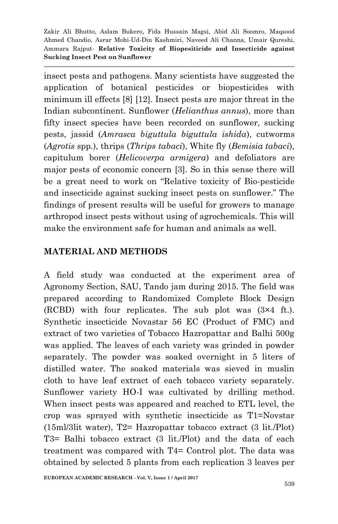insect pests and pathogens. Many scientists have suggested the application of botanical pesticides or biopesticides with minimum ill effects [8] [12]. Insect pests are major threat in the Indian subcontinent. Sunflower (*Helianthus annus*), more than fifty insect species have been recorded on sunflower, sucking pests, jassid (*Amrasca biguttula biguttula ishida*), cutworms (*Agrotis* spp.), thrips (*Thrips tabaci*), White fly (*Bemisia tabaci*), capitulum borer (*Helicoverpa armigera*) and defoliators are major pests of economic concern [3]. So in this sense there will be a great need to work on "Relative toxicity of Bio-pesticide and insecticide against sucking insect pests on sunflower." The findings of present results will be useful for growers to manage arthropod insect pests without using of agrochemicals. This will make the environment safe for human and animals as well.

## **MATERIAL AND METHODS**

A field study was conducted at the experiment area of Agronomy Section, SAU, Tando jam during 2015. The field was prepared according to Randomized Complete Block Design (RCBD) with four replicates. The sub plot was (3×4 ft.). Synthetic insecticide Novastar 56 EC (Product of FMC) and extract of two varieties of Tobacco Hazropattar and Balhi 500g was applied. The leaves of each variety was grinded in powder separately. The powder was soaked overnight in 5 liters of distilled water. The soaked materials was sieved in muslin cloth to have leaf extract of each tobacco variety separately. Sunflower variety HO-I was cultivated by drilling method. When insect pests was appeared and reached to ETL level, the crop was sprayed with synthetic insecticide as T1=Novstar (15ml/3lit water), T2= Hazropattar tobacco extract (3 lit./Plot) T3= Balhi tobacco extract (3 lit./Plot) and the data of each treatment was compared with T4= Control plot. The data was obtained by selected 5 plants from each replication 3 leaves per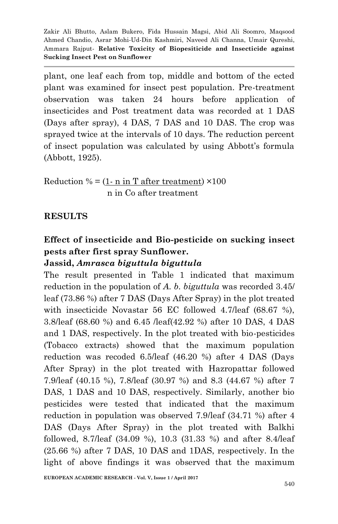plant, one leaf each from top, middle and bottom of the ected plant was examined for insect pest population. Pre-treatment observation was taken 24 hours before application of insecticides and Post treatment data was recorded at 1 DAS (Days after spray), 4 DAS, 7 DAS and 10 DAS. The crop was sprayed twice at the intervals of 10 days. The reduction percent of insect population was calculated by using Abbott's formula (Abbott, 1925).

Reduction  $\% = (1 - n \text{ in T after treatment}) \times 100$ n in Co after treatment

#### **RESULTS**

# **Effect of insecticide and Bio-pesticide on sucking insect pests after first spray Sunflower.**

## **Jassid,** *Amrasca biguttula biguttula*

The result presented in Table 1 indicated that maximum reduction in the population of *A. b. biguttula* was recorded 3.45/ leaf (73.86 %) after 7 DAS (Days After Spray) in the plot treated with insecticide Novastar 56 EC followed 4.7/leaf (68.67 %), 3.8/leaf (68.60 %) and 6.45 /leaf(42.92 %) after 10 DAS, 4 DAS and 1 DAS, respectively. In the plot treated with bio-pesticides (Tobacco extracts) showed that the maximum population reduction was recoded 6.5/leaf (46.20 %) after 4 DAS (Days After Spray) in the plot treated with Hazropattar followed 7.9/leaf (40.15 %), 7.8/leaf (30.97 %) and 8.3 (44.67 %) after 7 DAS, 1 DAS and 10 DAS, respectively. Similarly, another bio pesticides were tested that indicated that the maximum reduction in population was observed 7.9/leaf (34.71 %) after 4 DAS (Days After Spray) in the plot treated with Balkhi followed, 8.7/leaf (34.09 %), 10.3 (31.33 %) and after 8.4/leaf (25.66 %) after 7 DAS, 10 DAS and 1DAS, respectively. In the light of above findings it was observed that the maximum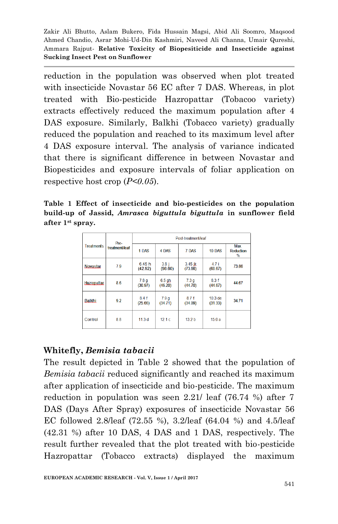reduction in the population was observed when plot treated with insecticide Novastar 56 EC after 7 DAS. Whereas, in plot treated with Bio-pesticide Hazropattar (Tobacoo variety) extracts effectively reduced the maximum population after 4 DAS exposure. Similarly, Balkhi (Tobacco variety) gradually reduced the population and reached to its maximum level after 4 DAS exposure interval. The analysis of variance indicated that there is significant difference in between Novastar and Biopesticides and exposure intervals of foliar application on respective host crop (*P<0.05*).

**Table 1 Effect of insecticide and bio-pesticides on the population build-up of Jassid,** *Amrasca biguttula biguttula* **in sunflower field after 1st spray.**

| <b>Treatments</b>  | Pre-<br>treatment/leaf | Post-treatment/leaf         |                             |                   |                               |                       |  |  |
|--------------------|------------------------|-----------------------------|-----------------------------|-------------------|-------------------------------|-----------------------|--|--|
|                    |                        | 1 DAS                       | 4 DAS                       | 7 DAS             | 10 DAS                        | Max<br>Reduction<br>% |  |  |
| <b>Novastar</b>    | 7.9                    | 6.45h<br>(42.92)            | 3.8 <sub>1</sub><br>(98.60) | 3.45 比<br>(73.86) | 4.7 i<br>(68.67)              | 73.86                 |  |  |
| <b>Hazropattar</b> | 8.6                    | 7.8 <sub>q</sub><br>(30.97) | $6.5$ ah<br>(46.20)         | 7.3q<br>(44.70)   | 8.3f<br>(44.67)               | 44.67                 |  |  |
| Balkhi             | 9.2                    | 8.4f<br>(25.66)             | 7.9 <sub>g</sub><br>(34.71) | 8.7f<br>(34.09)   | 10.3 <sub>de</sub><br>(31.33) | 34.71                 |  |  |
| Control            | 8.8                    | 11.3d                       | 12.1c                       | 13.2 <sub>b</sub> | 15.0a                         |                       |  |  |

## **Whitefly,** *Bemisia tabacii*

The result depicted in Table 2 showed that the population of *Bemisia tabacii* reduced significantly and reached its maximum after application of insecticide and bio-pesticide. The maximum reduction in population was seen 2.21/ leaf (76.74 %) after 7 DAS (Days After Spray) exposures of insecticide Novastar 56 EC followed 2.8/leaf (72.55 %), 3.2/leaf (64.04 %) and 4.5/leaf (42.31 %) after 10 DAS, 4 DAS and 1 DAS, respectively. The result further revealed that the plot treated with bio-pesticide Hazropattar (Tobacco extracts) displayed the maximum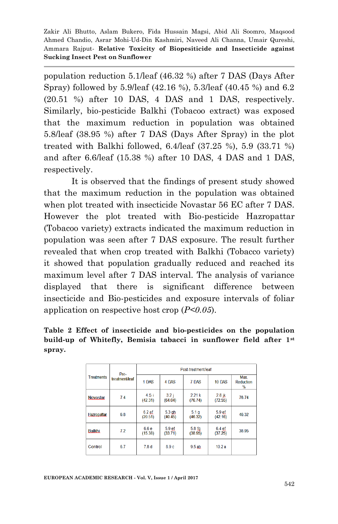population reduction 5.1/leaf (46.32 %) after 7 DAS (Days After Spray) followed by 5.9/leaf (42.16 %), 5.3/leaf (40.45 %) and 6.2 (20.51 %) after 10 DAS, 4 DAS and 1 DAS, respectively. Similarly, bio-pesticide Balkhi (Tobacoo extract) was exposed that the maximum reduction in population was obtained 5.8/leaf (38.95 %) after 7 DAS (Days After Spray) in the plot treated with Balkhi followed, 6.4/leaf (37.25 %), 5.9 (33.71 %) and after 6.6/leaf (15.38 %) after 10 DAS, 4 DAS and 1 DAS, respectively.

It is observed that the findings of present study showed that the maximum reduction in the population was obtained when plot treated with insecticide Novastar 56 EC after 7 DAS. However the plot treated with Bio-pesticide Hazropattar (Tobacoo variety) extracts indicated the maximum reduction in population was seen after 7 DAS exposure. The result further revealed that when crop treated with Balkhi (Tobacco variety) it showed that population gradually reduced and reached its maximum level after 7 DAS interval. The analysis of variance displayed that there is significant difference between insecticide and Bio-pesticides and exposure intervals of foliar application on respective host crop (*P<0.05*).

**Table 2 Effect of insecticide and bio-pesticides on the population build-up of Whitefly, Bemisia tabacci in sunflower field after 1st spray.**

| <b>Treatments</b> | Pre-<br>treatment/leaf | Post-treatment/leaf |                              |                              |                              |                        |  |  |
|-------------------|------------------------|---------------------|------------------------------|------------------------------|------------------------------|------------------------|--|--|
|                   |                        | 1 DAS               | 4 DAS                        | 7 DAS                        | 10 DAS                       | Max.<br>Reduction<br>% |  |  |
| <b>Novastar</b>   | 7.4                    | 4.5i<br>(42.31)     | 3.2 i<br>(64.04)             | 2.21k<br>(76.74)             | 2.8 jk<br>(72.55)            | 76.74                  |  |  |
| Hazropattar       | 6.8                    | $6.2$ ef<br>(20.51) | $5.3$ $gh$<br>(40.45)        | 5.1 <sub>q</sub><br>(46.32)  | 5.9 <sub>ef</sub><br>(42.16) | 46.32                  |  |  |
| Balkhi            | 7.2                    | 6.6e<br>(15.38)     | 5.9 <sub>ef</sub><br>(33.71) | 5.8 <sub>fa</sub><br>(38.95) | 6.4ef<br>(37.25)             | 38.95                  |  |  |
| Control           | 6.7                    | 7.8 <sub>d</sub>    | 8.9c                         | 9.5 ab                       | 10.2a                        |                        |  |  |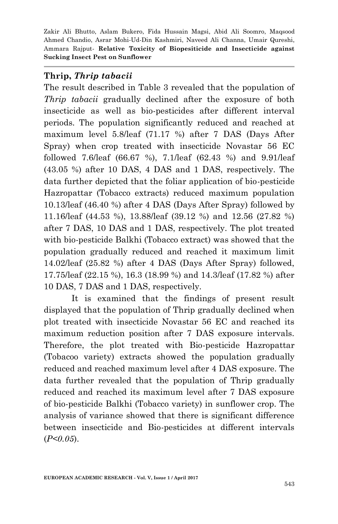#### **Thrip,** *Thrip tabacii*

The result described in Table 3 revealed that the population of *Thrip tabacii* gradually declined after the exposure of both insecticide as well as bio-pesticides after different interval periods. The population significantly reduced and reached at maximum level 5.8/leaf (71.17 %) after 7 DAS (Days After Spray) when crop treated with insecticide Novastar 56 EC followed 7.6/leaf (66.67 %), 7.1/leaf (62.43 %) and 9.91/leaf (43.05 %) after 10 DAS, 4 DAS and 1 DAS, respectively. The data further depicted that the foliar application of bio-pesticide Hazropattar (Tobacco extracts) reduced maximum population 10.13/leaf (46.40 %) after 4 DAS (Days After Spray) followed by 11.16/leaf (44.53 %), 13.88/leaf (39.12 %) and 12.56 (27.82 %) after 7 DAS, 10 DAS and 1 DAS, respectively. The plot treated with bio-pesticide Balkhi (Tobacco extract) was showed that the population gradually reduced and reached it maximum limit 14.02/leaf (25.82 %) after 4 DAS (Days After Spray) followed, 17.75/leaf (22.15 %), 16.3 (18.99 %) and 14.3/leaf (17.82 %) after 10 DAS, 7 DAS and 1 DAS, respectively.

It is examined that the findings of present result displayed that the population of Thrip gradually declined when plot treated with insecticide Novastar 56 EC and reached its maximum reduction position after 7 DAS exposure intervals. Therefore, the plot treated with Bio-pesticide Hazropattar (Tobacoo variety) extracts showed the population gradually reduced and reached maximum level after 4 DAS exposure. The data further revealed that the population of Thrip gradually reduced and reached its maximum level after 7 DAS exposure of bio-pesticide Balkhi (Tobacco variety) in sunflower crop. The analysis of variance showed that there is significant difference between insecticide and Bio-pesticides at different intervals (*P<0.05*).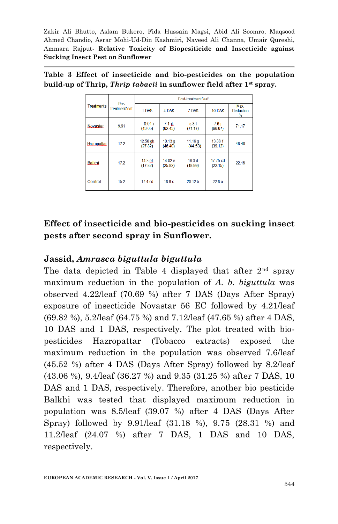| <b>Treatments</b>  |                        | Post-treatment/leaf           |                               |                      |                     |                               |  |  |  |
|--------------------|------------------------|-------------------------------|-------------------------------|----------------------|---------------------|-------------------------------|--|--|--|
|                    | Pre-<br>treatment/leaf | 1 DAS                         | 4 DAS                         | 7 DAS                | 10 DAS              | Max.<br><b>Reduction</b><br>% |  |  |  |
| <b>Novastar</b>    | 9.91                   | 9.91 i<br>(43.05)             | $7.1$ ik<br>(62.43)           | 5.81<br>(71.17)      | 7.6i<br>(66.67)     | 71.17                         |  |  |  |
| <b>Hazropattar</b> | 17.2                   | $12.56$ gh<br>(27.82)         | 10.13 <sub>g</sub><br>(46.40) | 11.16 $g$<br>(44.53) | 13.88 f<br>(39.12)  | 46.40                         |  |  |  |
| Balkhi             | 17.2                   | 14.3 <sub>ef</sub><br>(17.82) | 14.02 e<br>(25.82)            | 16.3d<br>(18.99)     | 17.75 cd<br>(22.15) | 22 15                         |  |  |  |
| Control            | 152                    | $17.4$ cd                     | 189c                          | 20,12 h              | 228a                |                               |  |  |  |

|  |  |  |                                                                                         |  | Table 3 Effect of insecticide and bio-pesticides on the population |
|--|--|--|-----------------------------------------------------------------------------------------|--|--------------------------------------------------------------------|
|  |  |  | build-up of Thrip, <i>Thrip tabacii</i> in sunflower field after 1 <sup>st</sup> spray. |  |                                                                    |

## **Effect of insecticide and bio-pesticides on sucking insect pests after second spray in Sunflower.**

#### **Jassid,** *Amrasca biguttula biguttula*

The data depicted in Table 4 displayed that after  $2<sup>nd</sup>$  spray maximum reduction in the population of *A. b. biguttula* was observed 4.22/leaf (70.69 %) after 7 DAS (Days After Spray) exposure of insecticide Novastar 56 EC followed by 4.21/leaf (69.82 %), 5.2/leaf (64.75 %) and 7.12/leaf (47.65 %) after 4 DAS, 10 DAS and 1 DAS, respectively. The plot treated with biopesticides Hazropattar (Tobacco extracts) exposed the maximum reduction in the population was observed 7.6/leaf (45.52 %) after 4 DAS (Days After Spray) followed by 8.2/leaf (43.06 %), 9.4/leaf (36.27 %) and 9.35 (31.25 %) after 7 DAS, 10 DAS and 1 DAS, respectively. Therefore, another bio pesticide Balkhi was tested that displayed maximum reduction in population was 8.5/leaf (39.07 %) after 4 DAS (Days After Spray) followed by 9.91/leaf (31.18 %), 9.75 (28.31 %) and 11.2/leaf (24.07 %) after 7 DAS, 1 DAS and 10 DAS, respectively.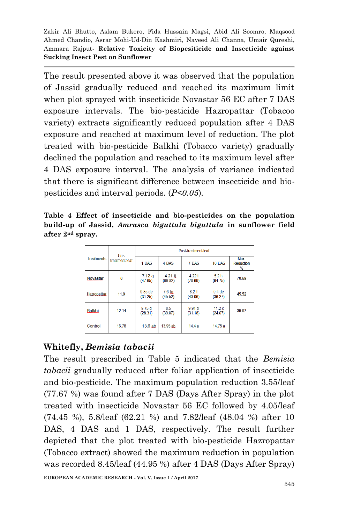The result presented above it was observed that the population of Jassid gradually reduced and reached its maximum limit when plot sprayed with insecticide Novastar 56 EC after 7 DAS exposure intervals. The bio-pesticide Hazropattar (Tobacoo variety) extracts significantly reduced population after 4 DAS exposure and reached at maximum level of reduction. The plot treated with bio-pesticide Balkhi (Tobacco variety) gradually declined the population and reached to its maximum level after 4 DAS exposure interval. The analysis of variance indicated that there is significant difference between insecticide and biopesticides and interval periods. (*P<0.05*).

**Table 4 Effect of insecticide and bio-pesticides on the population build-up of Jassid,** *Amrasca biguttula biguttula* **in sunflower field after 2nd spray.**

| <b>Treatments</b>  | Pre-<br>treatment/leaf | Post-treatment/leaf |                      |                              |                             |                           |  |  |
|--------------------|------------------------|---------------------|----------------------|------------------------------|-----------------------------|---------------------------|--|--|
|                    |                        | 1 DAS               | 4 DAS                | 7 DAS                        | 10 DAS                      | Max.<br>Reduction<br>$\%$ |  |  |
| <b>Novastar</b>    | 8                      | 7.12g<br>(47.65)    | $4.21$ ii<br>(69.82) | 4.22i<br>(70.69)             | 5.2 <sub>h</sub><br>(64.75) | 70.69                     |  |  |
| <b>Hazropattar</b> | 11.9                   | 9.35 de<br>(31.25)  | 7.6 fq<br>(45.52)    | 8.2 f<br>(43.06)             | $9.4$ de<br>(36.27)         | 45.52                     |  |  |
| <b>Balkhi</b>      | 12.14                  | 9.75d<br>(28.31)    | 8.5<br>(39.07)       | 9.91 <sub>d</sub><br>(31.18) | 11.2c<br>(24.07)            | 39.07                     |  |  |
| Control            | 16.78                  | 13.6 ab             | 13.95 ab             | 14.4a                        | 14.75 a                     |                           |  |  |

## **Whitefly,** *Bemisia tabacii*

The result prescribed in Table 5 indicated that the *Bemisia tabacii* gradually reduced after foliar application of insecticide and bio-pesticide. The maximum population reduction 3.55/leaf (77.67 %) was found after 7 DAS (Days After Spray) in the plot treated with insecticide Novastar 56 EC followed by 4.05/leaf (74.45 %), 5.8/leaf (62.21 %) and 7.82/leaf (48.04 %) after 10 DAS, 4 DAS and 1 DAS, respectively. The result further depicted that the plot treated with bio-pesticide Hazropattar (Tobacco extract) showed the maximum reduction in population was recorded 8.45/leaf (44.95 %) after 4 DAS (Days After Spray)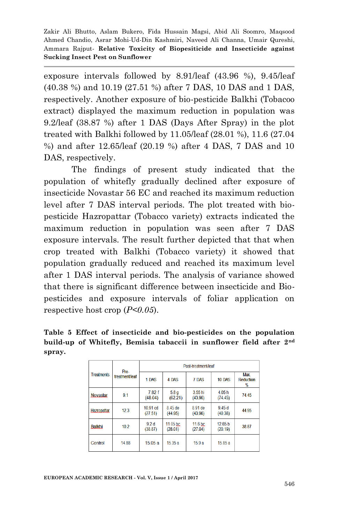exposure intervals followed by 8.91/leaf (43.96 %), 9.45/leaf (40.38 %) and 10.19 (27.51 %) after 7 DAS, 10 DAS and 1 DAS, respectively. Another exposure of bio-pesticide Balkhi (Tobacoo extract) displayed the maximum reduction in population was 9.2/leaf (38.87 %) after 1 DAS (Days After Spray) in the plot treated with Balkhi followed by 11.05/leaf (28.01 %), 11.6 (27.04 %) and after 12.65/leaf (20.19 %) after 4 DAS, 7 DAS and 10 DAS, respectively.

The findings of present study indicated that the population of whitefly gradually declined after exposure of insecticide Novastar 56 EC and reached its maximum reduction level after 7 DAS interval periods. The plot treated with biopesticide Hazropattar (Tobacco variety) extracts indicated the maximum reduction in population was seen after 7 DAS exposure intervals. The result further depicted that that when crop treated with Balkhi (Tobacco variety) it showed that population gradually reduced and reached its maximum level after 1 DAS interval periods. The analysis of variance showed that there is significant difference between insecticide and Biopesticides and exposure intervals of foliar application on respective host crop (*P<0.05*).

|        |  | Table 5 Effect of insecticide and bio-pesticides on the population              |  |  |  |  |
|--------|--|---------------------------------------------------------------------------------|--|--|--|--|
|        |  | build-up of Whitefly, Bemisia tabaccii in sunflower field after 2 <sup>nd</sup> |  |  |  |  |
| spray. |  |                                                                                 |  |  |  |  |

| <b>Treatments</b>  | Pre-<br>treatment/leaf | Post-treatment/leaf         |                     |                    |                               |                        |  |  |
|--------------------|------------------------|-----------------------------|---------------------|--------------------|-------------------------------|------------------------|--|--|
|                    |                        | 1 DAS                       | 4 DAS               | 7 DAS              | 10 DAS                        | Max.<br>Reduction<br>% |  |  |
| <b>Novastar</b>    | 9.1                    | 7.82f<br>(48.04)            | 5.8q<br>(62.21)     | 3.55 hi<br>(43.96) | 4.05h<br>(74.45)              | 74.45                  |  |  |
| <b>Hazropattar</b> | 12.3                   | 10.91 cd<br>(27.51)         | 8.45 de<br>(44.95)  | 8.91 de<br>(43.96) | 9.45d<br>(40.38)              | 44.95                  |  |  |
| Balkhi             | 10.2                   | 9.2 <sub>d</sub><br>(38.87) | 11.05 bc<br>(28.01) | 11.6 bc<br>(27.04) | 12.65 <sub>b</sub><br>(20.19) | 38.87                  |  |  |
| Control            | 14.88                  | 1505a                       | 15.35a              | 15.9a              | 15.85a                        |                        |  |  |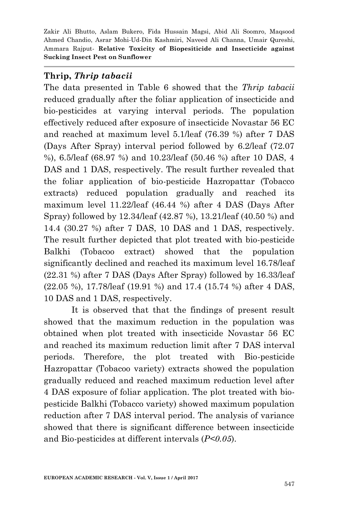#### **Thrip,** *Thrip tabacii*

The data presented in Table 6 showed that the *Thrip tabacii* reduced gradually after the foliar application of insecticide and bio-pesticides at varying interval periods. The population effectively reduced after exposure of insecticide Novastar 56 EC and reached at maximum level 5.1/leaf (76.39 %) after 7 DAS (Days After Spray) interval period followed by 6.2/leaf (72.07 %), 6.5/leaf (68.97 %) and 10.23/leaf (50.46 %) after 10 DAS, 4 DAS and 1 DAS, respectively. The result further revealed that the foliar application of bio-pesticide Hazropattar (Tobacco extracts) reduced population gradually and reached its maximum level 11.22/leaf (46.44 %) after 4 DAS (Days After Spray) followed by 12.34/leaf (42.87 %), 13.21/leaf (40.50 %) and 14.4 (30.27 %) after 7 DAS, 10 DAS and 1 DAS, respectively. The result further depicted that plot treated with bio-pesticide Balkhi (Tobacoo extract) showed that the population significantly declined and reached its maximum level 16.78/leaf (22.31 %) after 7 DAS (Days After Spray) followed by 16.33/leaf (22.05 %), 17.78/leaf (19.91 %) and 17.4 (15.74 %) after 4 DAS, 10 DAS and 1 DAS, respectively.

It is observed that that the findings of present result showed that the maximum reduction in the population was obtained when plot treated with insecticide Novastar 56 EC and reached its maximum reduction limit after 7 DAS interval periods. Therefore, the plot treated with Bio-pesticide Hazropattar (Tobacoo variety) extracts showed the population gradually reduced and reached maximum reduction level after 4 DAS exposure of foliar application. The plot treated with biopesticide Balkhi (Tobacco variety) showed maximum population reduction after 7 DAS interval period. The analysis of variance showed that there is significant difference between insecticide and Bio-pesticides at different intervals (*P<0.05*).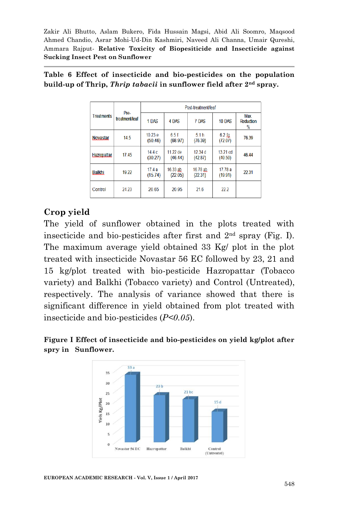| <b>Treatments</b>  | Pre-<br>treatment/leaf | Post-treatment/leaf |                     |                     |                     |                                  |  |  |
|--------------------|------------------------|---------------------|---------------------|---------------------|---------------------|----------------------------------|--|--|
|                    |                        | 1 DAS               | 4 DAS               | 7 DAS               | 10 DAS              | Max.<br><b>Reduction</b><br>$\%$ |  |  |
| <b>Novastar</b>    | 14.5                   | 10.23 e<br>(50.46)  | 65f<br>(68.97)      | 51h<br>(76.39)      | $6.2$ fg<br>(72.07) | 76.39                            |  |  |
| <b>Hazropattar</b> | 1745                   | 14.4c<br>(30.27)    | 11.22 de<br>(46.44) | 12.34 d<br>(42.87)  | 13.21 cd<br>(40.50) | 46.44                            |  |  |
| Balkhi             | 19.22                  | 17.4a<br>(15.74)    | 16.33 ab<br>(22.05) | 16.78 ab<br>(22.31) | 17.78 a<br>(19.91)  | 22.31                            |  |  |
| Control            | 24 23                  | 20.65               | 20.95               | 216                 | 222                 |                                  |  |  |

**Table 6 Effect of insecticide and bio-pesticides on the population build-up of Thrip,** *Thrip tabacii* **in sunflower field after 2nd spray.**

#### **Crop yield**

The yield of sunflower obtained in the plots treated with insecticide and bio-pesticides after first and 2nd spray (Fig. I). The maximum average yield obtained 33 Kg/ plot in the plot treated with insecticide Novastar 56 EC followed by 23, 21 and 15 kg/plot treated with bio-pesticide Hazropattar (Tobacco variety) and Balkhi (Tobacco variety) and Control (Untreated), respectively. The analysis of variance showed that there is significant difference in yield obtained from plot treated with insecticide and bio-pesticides (*P<0.05*).





**EUROPEAN ACADEMIC RESEARCH - Vol. V, Issue 1 / April 2017**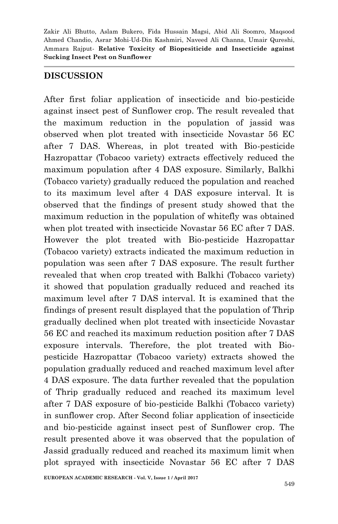#### **DISCUSSION**

After first foliar application of insecticide and bio-pesticide against insect pest of Sunflower crop. The result revealed that the maximum reduction in the population of jassid was observed when plot treated with insecticide Novastar 56 EC after 7 DAS. Whereas, in plot treated with Bio-pesticide Hazropattar (Tobacoo variety) extracts effectively reduced the maximum population after 4 DAS exposure. Similarly, Balkhi (Tobacco variety) gradually reduced the population and reached to its maximum level after 4 DAS exposure interval. It is observed that the findings of present study showed that the maximum reduction in the population of whitefly was obtained when plot treated with insecticide Novastar 56 EC after 7 DAS. However the plot treated with Bio-pesticide Hazropattar (Tobacoo variety) extracts indicated the maximum reduction in population was seen after 7 DAS exposure. The result further revealed that when crop treated with Balkhi (Tobacco variety) it showed that population gradually reduced and reached its maximum level after 7 DAS interval. It is examined that the findings of present result displayed that the population of Thrip gradually declined when plot treated with insecticide Novastar 56 EC and reached its maximum reduction position after 7 DAS exposure intervals. Therefore, the plot treated with Biopesticide Hazropattar (Tobacoo variety) extracts showed the population gradually reduced and reached maximum level after 4 DAS exposure. The data further revealed that the population of Thrip gradually reduced and reached its maximum level after 7 DAS exposure of bio-pesticide Balkhi (Tobacco variety) in sunflower crop. After Second foliar application of insecticide and bio-pesticide against insect pest of Sunflower crop. The result presented above it was observed that the population of Jassid gradually reduced and reached its maximum limit when plot sprayed with insecticide Novastar 56 EC after 7 DAS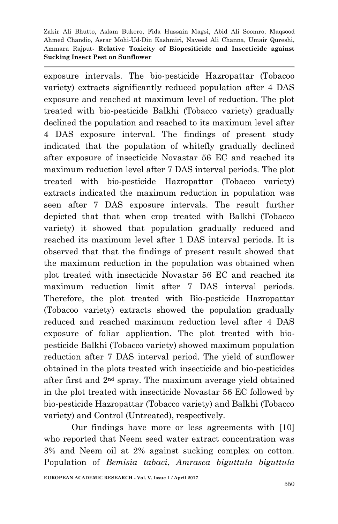exposure intervals. The bio-pesticide Hazropattar (Tobacoo variety) extracts significantly reduced population after 4 DAS exposure and reached at maximum level of reduction. The plot treated with bio-pesticide Balkhi (Tobacco variety) gradually declined the population and reached to its maximum level after 4 DAS exposure interval. The findings of present study indicated that the population of whitefly gradually declined after exposure of insecticide Novastar 56 EC and reached its maximum reduction level after 7 DAS interval periods. The plot treated with bio-pesticide Hazropattar (Tobacco variety) extracts indicated the maximum reduction in population was seen after 7 DAS exposure intervals. The result further depicted that that when crop treated with Balkhi (Tobacco variety) it showed that population gradually reduced and reached its maximum level after 1 DAS interval periods. It is observed that that the findings of present result showed that the maximum reduction in the population was obtained when plot treated with insecticide Novastar 56 EC and reached its maximum reduction limit after 7 DAS interval periods. Therefore, the plot treated with Bio-pesticide Hazropattar (Tobacoo variety) extracts showed the population gradually reduced and reached maximum reduction level after 4 DAS exposure of foliar application. The plot treated with biopesticide Balkhi (Tobacco variety) showed maximum population reduction after 7 DAS interval period. The yield of sunflower obtained in the plots treated with insecticide and bio-pesticides after first and 2nd spray. The maximum average yield obtained in the plot treated with insecticide Novastar 56 EC followed by bio-pesticide Hazropattar (Tobacco variety) and Balkhi (Tobacco variety) and Control (Untreated), respectively.

Our findings have more or less agreements with [10] who reported that Neem seed water extract concentration was 3% and Neem oil at 2% against sucking complex on cotton. Population of *Bemisia tabaci*, *Amrasca biguttula biguttula*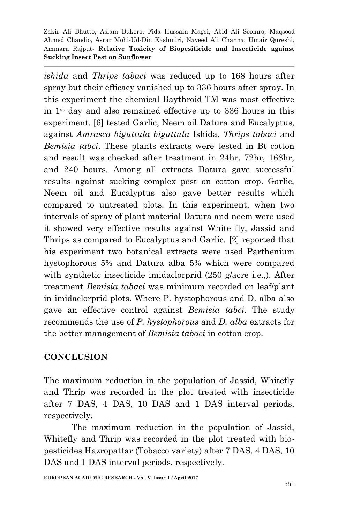*ishida* and *Thrips tabaci* was reduced up to 168 hours after spray but their efficacy vanished up to 336 hours after spray. In this experiment the chemical Baythroid TM was most effective in 1st day and also remained effective up to 336 hours in this experiment. [6] tested Garlic, Neem oil Datura and Eucalyptus, against *Amrasca biguttula biguttula* Ishida, *Thrips tabaci* and *Bemisia tabci*. These plants extracts were tested in Bt cotton and result was checked after treatment in 24hr, 72hr, 168hr, and 240 hours. Among all extracts Datura gave successful results against sucking complex pest on cotton crop. Garlic, Neem oil and Eucalyptus also gave better results which compared to untreated plots. In this experiment, when two intervals of spray of plant material Datura and neem were used it showed very effective results against White fly, Jassid and Thrips as compared to Eucalyptus and Garlic. [2] reported that his experiment two botanical extracts were used Parthenium hystophorous 5% and Datura alba 5% which were compared with synthetic insecticide imidaclorprid (250 g/acre i.e..). After treatment *Bemisia tabaci* was minimum recorded on leaf/plant in imidaclorprid plots. Where P. hystophorous and D. alba also gave an effective control against *Bemisia tabci*. The study recommends the use of *P. hystophorous* and *D. alba* extracts for the better management of *Bemisia tabaci* in cotton crop.

## **CONCLUSION**

The maximum reduction in the population of Jassid, Whitefly and Thrip was recorded in the plot treated with insecticide after 7 DAS, 4 DAS, 10 DAS and 1 DAS interval periods, respectively.

The maximum reduction in the population of Jassid, Whitefly and Thrip was recorded in the plot treated with biopesticides Hazropattar (Tobacco variety) after 7 DAS, 4 DAS, 10 DAS and 1 DAS interval periods, respectively.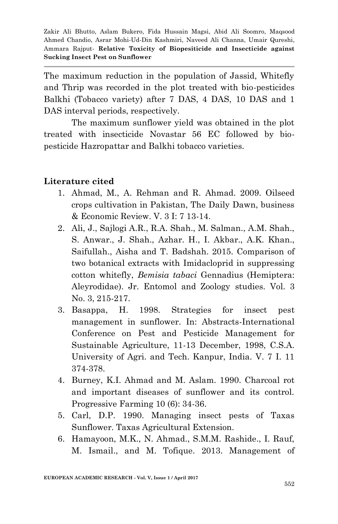The maximum reduction in the population of Jassid, Whitefly and Thrip was recorded in the plot treated with bio-pesticides Balkhi (Tobacco variety) after 7 DAS, 4 DAS, 10 DAS and 1 DAS interval periods, respectively.

The maximum sunflower yield was obtained in the plot treated with insecticide Novastar 56 EC followed by biopesticide Hazropattar and Balkhi tobacco varieties.

#### **Literature cited**

- 1. Ahmad, M., A. Rehman and R. Ahmad. 2009. Oilseed crops cultivation in Pakistan, The Daily Dawn, business & Economic Review. V. 3 I: 7 13-14.
- 2. Ali, J., Sajlogi A.R., R.A. Shah., M. Salman., A.M. Shah., S. Anwar., J. Shah., Azhar. H., I. Akbar., A.K. Khan., Saifullah., Aisha and T. Badshah. 2015. Comparison of two botanical extracts with Imidacloprid in suppressing cotton whitefly, *Bemisia tabaci* Gennadius (Hemiptera: Aleyrodidae). Jr. Entomol and Zoology studies. Vol. 3 No. 3, 215-217.
- 3. Basappa, H. 1998. Strategies for insect pest management in sunflower. In: Abstracts-International Conference on Pest and Pesticide Management for Sustainable Agriculture, 11-13 December, 1998, C.S.A. University of Agri. and Tech. Kanpur, India. V. 7 I. 11 374-378.
- 4. Burney, K.I. Ahmad and M. Aslam. 1990. Charcoal rot and important diseases of sunflower and its control. Progressive Farming 10 (6): 34-36.
- 5. Carl, D.P. 1990. Managing insect pests of Taxas Sunflower. Taxas Agricultural Extension.
- 6. Hamayoon, M.K., N. Ahmad., S.M.M. Rashide., I. Rauf, M. Ismail., and M. Tofique. 2013. Management of